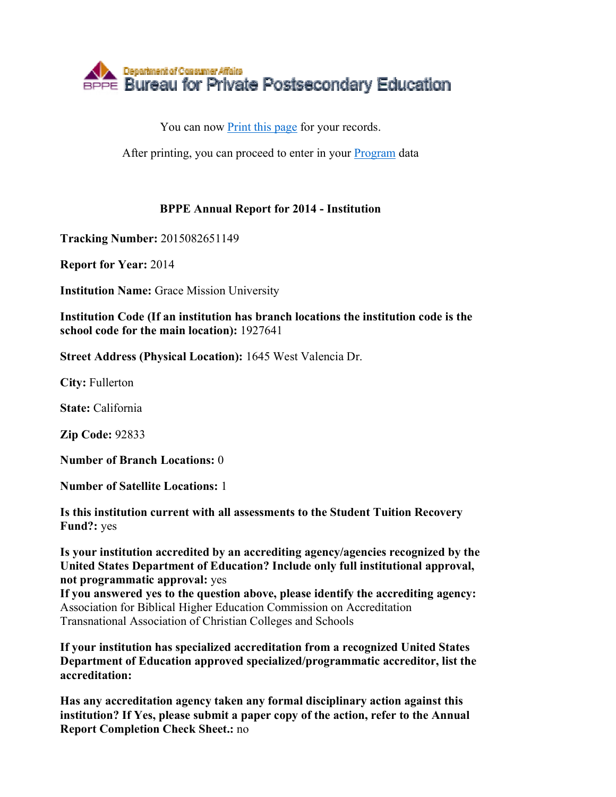

You can now Print this page for your records.

After printing, you can proceed to enter in your Program data

## **BPPE Annual Report for 2014 - Institution**

**Tracking Number:** 2015082651149

**Report for Year:** 2014

**Institution Name:** Grace Mission University

**Institution Code (If an institution has branch locations the institution code is the school code for the main location):** 1927641

**Street Address (Physical Location):** 1645 West Valencia Dr.

**City:** Fullerton

**State:** California

**Zip Code:** 92833

**Number of Branch Locations:** 0

**Number of Satellite Locations:** 1

**Is this institution current with all assessments to the Student Tuition Recovery Fund?:** yes

**Is your institution accredited by an accrediting agency/agencies recognized by the United States Department of Education? Include only full institutional approval, not programmatic approval:** yes

**If you answered yes to the question above, please identify the accrediting agency:** Association for Biblical Higher Education Commission on Accreditation Transnational Association of Christian Colleges and Schools

**If your institution has specialized accreditation from a recognized United States Department of Education approved specialized/programmatic accreditor, list the accreditation:**

**Has any accreditation agency taken any formal disciplinary action against this institution? If Yes, please submit a paper copy of the action, refer to the Annual Report Completion Check Sheet.:** no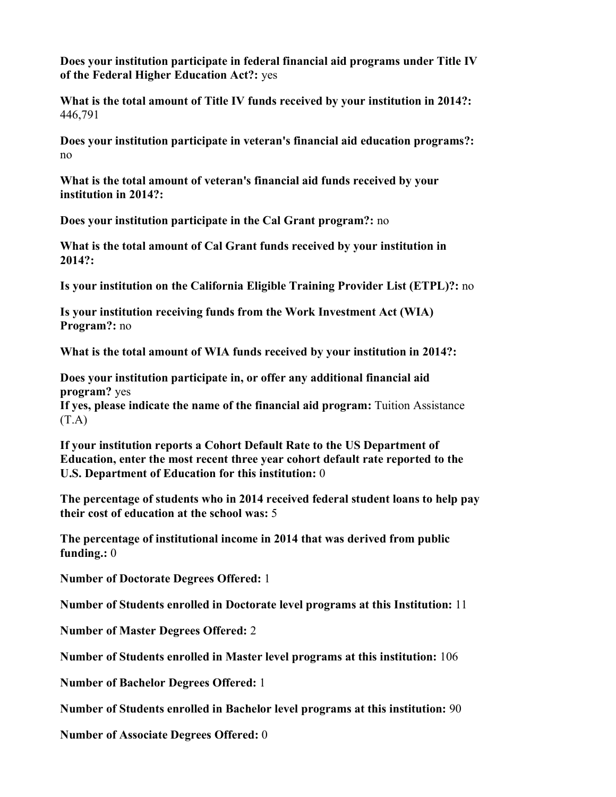**Does your institution participate in federal financial aid programs under Title IV of the Federal Higher Education Act?:** yes

**What is the total amount of Title IV funds received by your institution in 2014?:** 446,791

**Does your institution participate in veteran's financial aid education programs?:** no

**What is the total amount of veteran's financial aid funds received by your institution in 2014?:**

**Does your institution participate in the Cal Grant program?:** no

**What is the total amount of Cal Grant funds received by your institution in 2014?:**

**Is your institution on the California Eligible Training Provider List (ETPL)?:** no

**Is your institution receiving funds from the Work Investment Act (WIA) Program?:** no

**What is the total amount of WIA funds received by your institution in 2014?:**

**Does your institution participate in, or offer any additional financial aid program?** yes

**If yes, please indicate the name of the financial aid program:** Tuition Assistance  $(T.A)$ 

**If your institution reports a Cohort Default Rate to the US Department of Education, enter the most recent three year cohort default rate reported to the U.S. Department of Education for this institution:** 0

**The percentage of students who in 2014 received federal student loans to help pay their cost of education at the school was:** 5

**The percentage of institutional income in 2014 that was derived from public funding.:** 0

**Number of Doctorate Degrees Offered:** 1

**Number of Students enrolled in Doctorate level programs at this Institution:** 11

**Number of Master Degrees Offered:** 2

**Number of Students enrolled in Master level programs at this institution:** 106

**Number of Bachelor Degrees Offered:** 1

**Number of Students enrolled in Bachelor level programs at this institution:** 90

**Number of Associate Degrees Offered:** 0